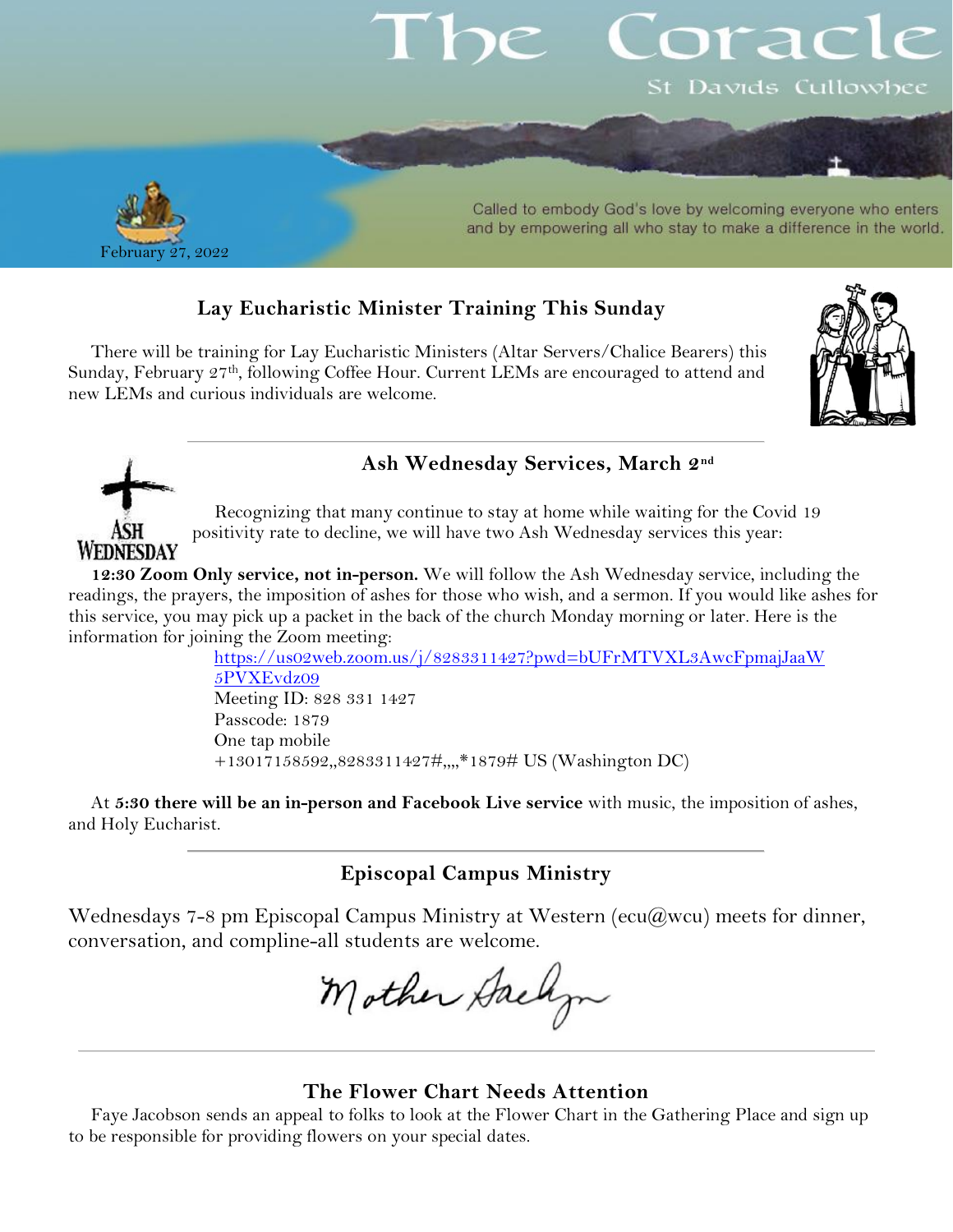# orac St Davids Cullowhee



ASH WEDNESDAY

Called to embody God's love by welcoming everyone who enters and by empowering all who stay to make a difference in the world.

## **Lay Eucharistic Minister Training This Sunday**

There will be training for Lay Eucharistic Ministers (Altar Servers/Chalice Bearers) this Sunday, February 27<sup>th</sup>, following Coffee Hour. Current LEMs are encouraged to attend and new LEMs and curious individuals are welcome.



## **Ash Wednesday Services, March 2nd**

Recognizing that many continue to stay at home while waiting for the Covid 19 positivity rate to decline, we will have two Ash Wednesday services this year:

**12:30 Zoom Only service, not in-person.** We will follow the Ash Wednesday service, including the readings, the prayers, the imposition of ashes for those who wish, and a sermon. If you would like ashes for this service, you may pick up a packet in the back of the church Monday morning or later. Here is the information for joining the Zoom meeting:

[https://us02web.zoom.us/j/8283311427?pwd=bUFrMTVXL3AwcFpmajJaaW](https://us02web.zoom.us/j/8283311427?pwd=bUFrMTVXL3AwcFpmajJaaW5PVXEvdz09) [5PVXEvdz09](https://us02web.zoom.us/j/8283311427?pwd=bUFrMTVXL3AwcFpmajJaaW5PVXEvdz09) Meeting ID: 828 331 1427 Passcode: 1879 One tap mobile +13017158592,,8283311427#,,,,\*1879# US (Washington DC)

At **5:30 there will be an in-person and Facebook Live service** with music, the imposition of ashes, and Holy Eucharist.

**Episcopal Campus Ministry**

Wednesdays 7-8 pm Episcopal Campus Ministry at Western (ecu $(\partial wcu)$ ) meets for dinner, conversation, and compline-all students are welcome.

Mother Gaelyn

### **The Flower Chart Needs Attention**

Faye Jacobson sends an appeal to folks to look at the Flower Chart in the Gathering Place and sign up to be responsible for providing flowers on your special dates.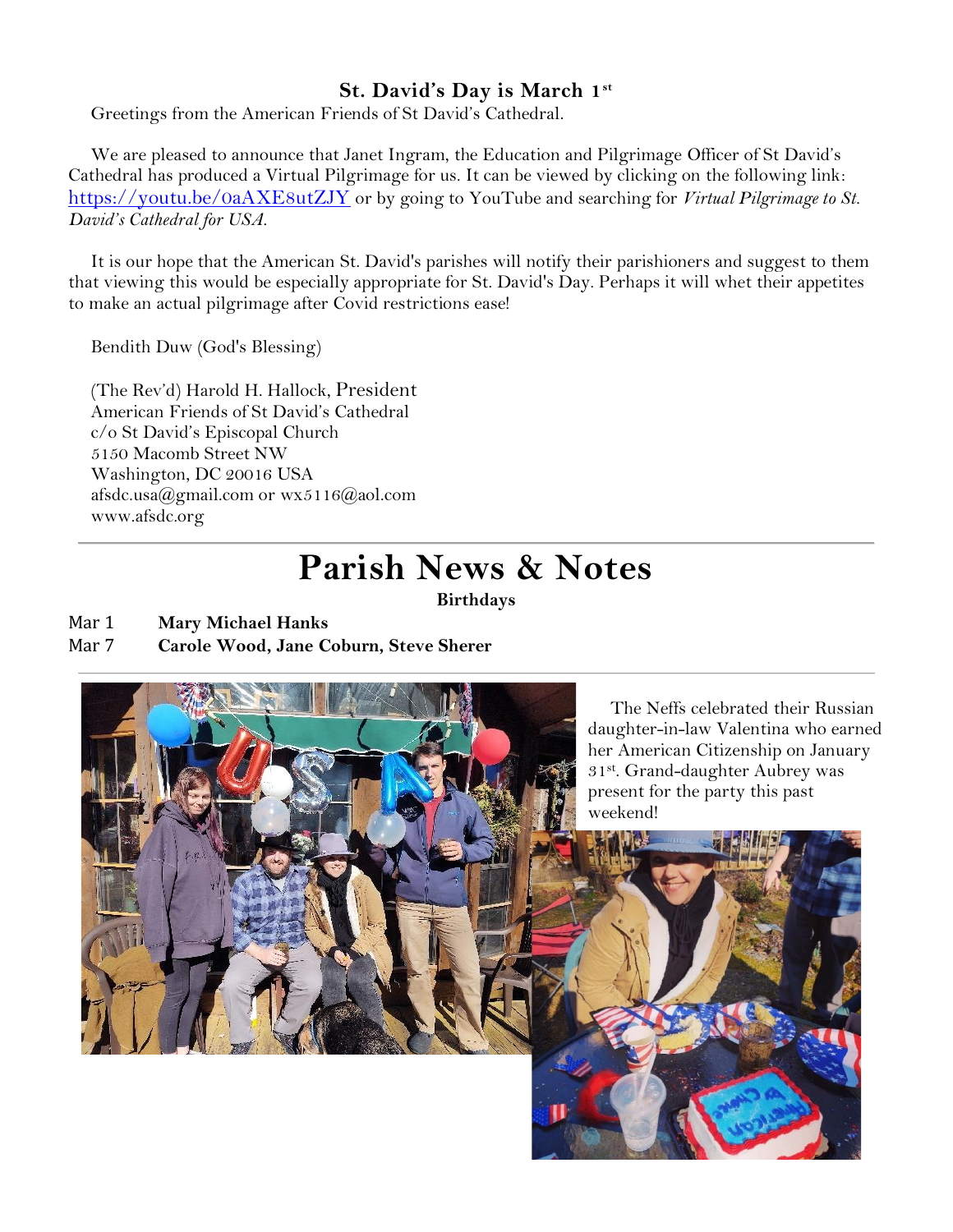## **St. David's Day is March 1st**

Greetings from the American Friends of St David's Cathedral.

We are pleased to announce that Janet Ingram, the Education and Pilgrimage Officer of St David's Cathedral has produced a Virtual Pilgrimage for us. It can be viewed by clicking on the following link: <https://youtu.be/0aAXE8utZJY> or by going to YouTube and searching for *Virtual Pilgrimage to St. David's Cathedral for USA.*

It is our hope that the American St. David's parishes will notify their parishioners and suggest to them that viewing this would be especially appropriate for St. David's Day. Perhaps it will whet their appetites to make an actual pilgrimage after Covid restrictions ease!

Bendith Duw (God's Blessing)

(The Rev'd) Harold H. Hallock, President American Friends of St David's Cathedral c/o St David's Episcopal Church 5150 Macomb Street NW Washington, DC 20016 USA [afsdc.usa@](mailto:afsdc.usa@)[gmail.com](http://gmail.com/) or [wx5116@aol.com](mailto:wx5116@aol.com) [www.afsdc.org](http://www.afsdc.org/)

## **Parish News & Notes**

**Birthdays**

- Mar 1 **Mary Michael Hanks**
- Mar 7 **Carole Wood, Jane Coburn, Steve Sherer**

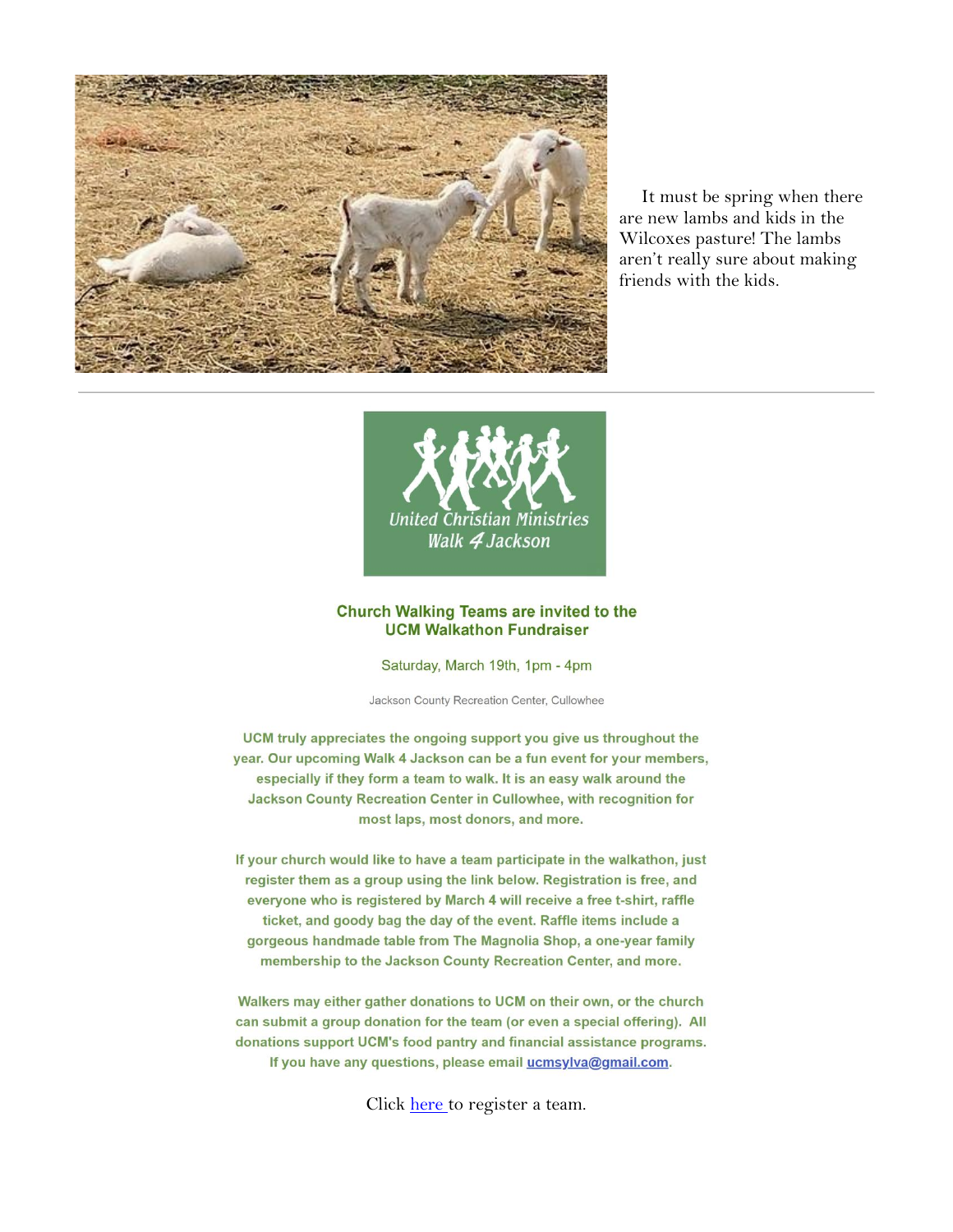

It must be spring when there are new lambs and kids in the Wilcoxes pasture! The lambs aren't really sure about making friends with the kids.



#### **Church Walking Teams are invited to the UCM Walkathon Fundraiser**

Saturday, March 19th, 1pm - 4pm

Jackson County Recreation Center, Cullowhee

UCM truly appreciates the ongoing support you give us throughout the year. Our upcoming Walk 4 Jackson can be a fun event for your members, especially if they form a team to walk. It is an easy walk around the Jackson County Recreation Center in Cullowhee, with recognition for most laps, most donors, and more.

If your church would like to have a team participate in the walkathon, just register them as a group using the link below. Registration is free, and everyone who is registered by March 4 will receive a free t-shirt, raffle ticket, and goody bag the day of the event. Raffle items include a gorgeous handmade table from The Magnolia Shop, a one-year family membership to the Jackson County Recreation Center, and more.

Walkers may either gather donations to UCM on their own, or the church can submit a group donation for the team (or even a special offering). All donations support UCM's food pantry and financial assistance programs. If you have any questions, please email ucmsylva@gmail.com.

Click [here](https://mcusercontent.com/1d5128aae9b9ff3bbf4f31f50/files/116f0959-5e69-4e25-2b35-aa464bcfcef2/2022_Walkathon_Team_Registration_Form.01.pdf) to register a team.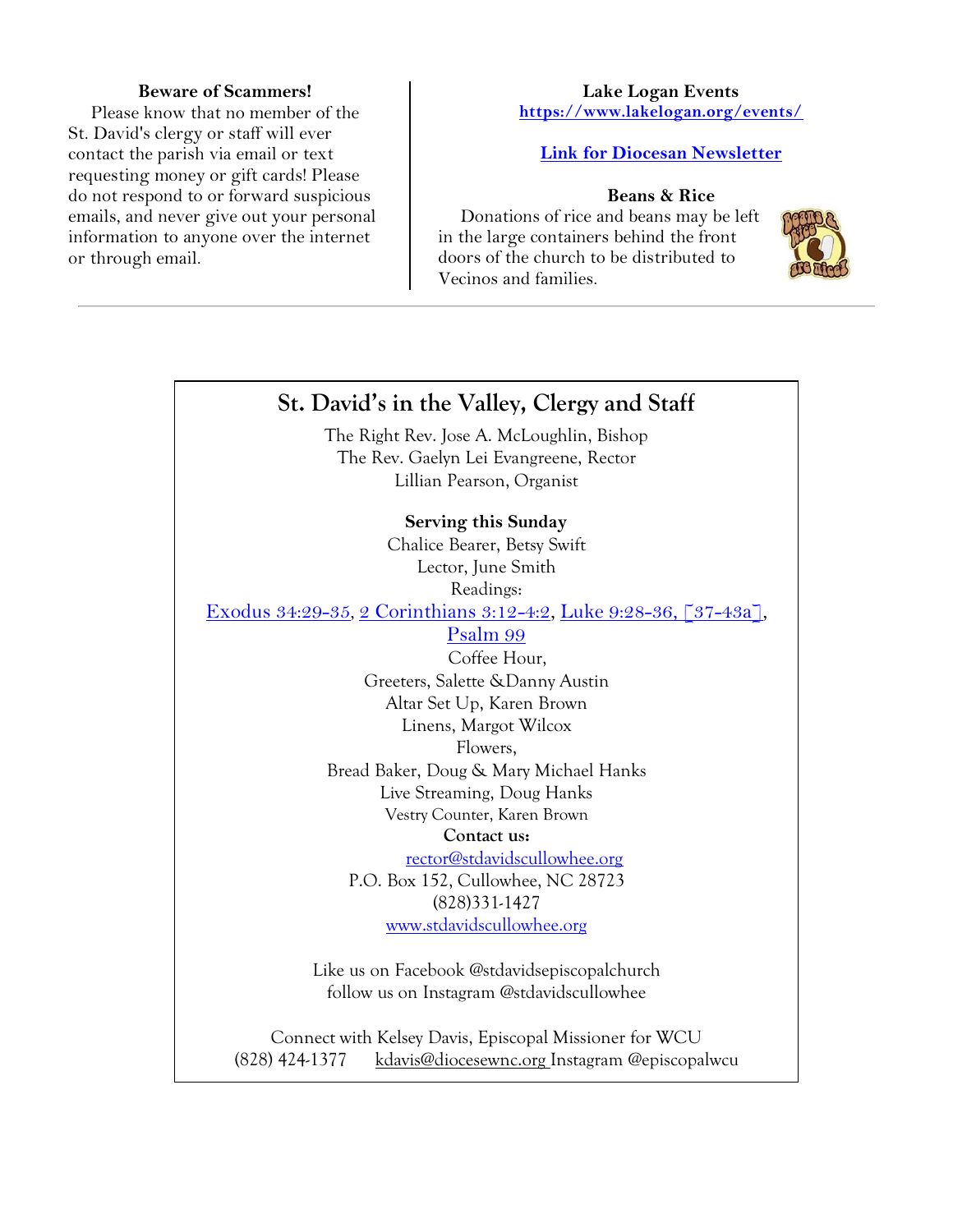#### **Beware of Scammers!**

Please know that no member of the St. David's clergy or staff will ever contact the parish via email or text requesting money or gift cards! Please do not respond to or forward suspicious emails, and never give out your personal information to anyone over the internet or through email.

#### **Lake Logan Events <https://www.lakelogan.org/events/>**

#### **[Link for Diocesan Newsletter](https://files.ctctusercontent.com/bcd32219001/75075db9-7c0d-488e-ad4e-ddfa7bb70a84.pdf?rdr=true)**

#### **Beans & Rice**

Donations of rice and beans may be left in the large containers behind the front doors of the church to be distributed to Vecinos and families.



## **St. David's in the Valley, Clergy and Staff**

The Right Rev. Jose A. McLoughlin, Bishop The Rev. Gaelyn Lei Evangreene, Rector Lillian Pearson, Organist

#### **Serving this Sunday**

Chalice Bearer, Betsy Swift Lector, June Smith Readings: [Exodus 34:29-35](http://lectionarypage.net/YearC_RCL/Epiphany/CEpiLast_RCL.html#ot1), [2 Corinthians 3:12-4:2,](http://lectionarypage.net/YearC_RCL/Epiphany/CEpiLast_RCL.html#nt1) [Luke 9:28-36, \[37-43a\],](http://lectionarypage.net/YearC_RCL/Epiphany/CEpiLast_RCL.html#gsp1)

[Psalm 99](http://lectionarypage.net/YearC_RCL/Epiphany/CEpiLast_RCL.html#ps1)

Coffee Hour, Greeters, Salette &Danny Austin Altar Set Up, Karen Brown Linens, Margot Wilcox Flowers,

Bread Baker, Doug & Mary Michael Hanks Live Streaming, Doug Hanks Vestry Counter, Karen Brown

#### **Contact us:**

[rector@stdavidscullowhee.org](mailto:rector@stdavidscullowhee.org) P.O. Box 152, Cullowhee, NC 28723 (828)331-1427 [www.stdavidscullowhee.org](http://www.stdavidscullowhee.org/)

Like us on Facebook @stdavidsepiscopalchurch follow us on Instagram @stdavidscullowhee

Connect with Kelsey Davis, Episcopal Missioner for WCU (828) 424-1377 [kdavis@diocesewnc.org](mailto:kdavis@diocesewnc.org) Instagram @episcopalwcu